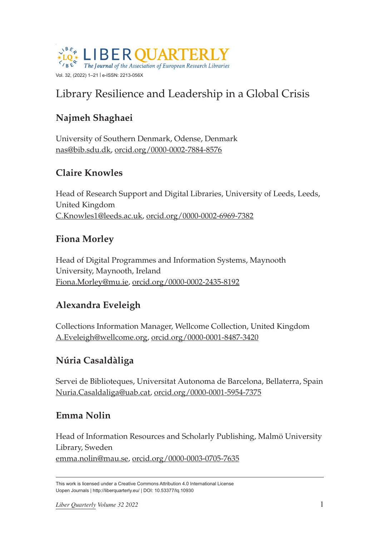

# Library Resilience and Leadership in a Global Crisis

# **Najmeh Shaghaei**

University of Southern Denmark, Odense, Denmark [nas@bib.sdu.dk](mailto:nas@bib.sdu.dk), [orcid.org/0000-0002-7884-8576](https://orcid.org/0000-0002-7884-8576)

# **Claire Knowles**

Head of Research Support and Digital Libraries, University of Leeds, Leeds, United Kingdom [C.Knowles1@leeds.ac.uk,](mailto:C.Knowles1@leeds.ac.uk) [orcid.org/0000-0002-6969-7382](https://orcid.org/0000-0002-6969-7382)

### **Fiona Morley**

Head of Digital Programmes and Information Systems, Maynooth University, Maynooth, Ireland [Fiona.Morley@mu.ie,](mailto:Fiona.Morley@mu.ie) [orcid.org/0000-0002-2435-8192](https://orcid.org/0000-0002-2435-8192)

# **Alexandra Eveleigh**

Collections Information Manager, Wellcome Collection, United Kingdom [A.Eveleigh@wellcome.org,](mailto:A.Eveleigh@wellcome.org) [orcid.org/0000-0001-8487-3420](https://orcid.org/0000-0001-8487-3420)

# **Núria Casaldàliga**

Servei de Biblioteques, Universitat Autonoma de Barcelona, Bellaterra, Spain [Nuria.Casaldaliga@uab.cat,](mailto:Nuria.Casaldaliga@uab.cat) [orcid.org/0000-0001-5954-7375](https://orcid.org/0000-0001-5954-7375)

### **Emma Nolin**

Head of Information Resources and Scholarly Publishing, Malmö University Library, Sweden [emma.nolin@mau.se,](mailto:emma.nolin@mau.se) [orcid.org/0000-0003-0705-7635](https://orcid.org/0000-0003-0705-7635)

This work is licensed under a Creative Commons Attribution 4.0 International License Uopen Journals | <http://liberquarterly.eu>/ | DOI: 10.53377/lq.10930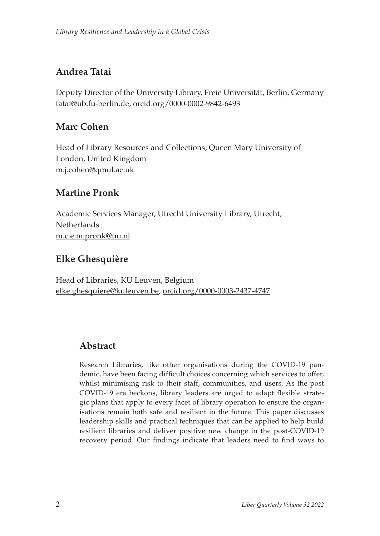# **Andrea Tatai**

Deputy Director of the University Library, Freie Universität, Berlin, Germany [tatai@ub.fu-berlin.de,](mailto:tatai@ub.fu-berlin.de) [orcid.org/0000-0002-9842-6493](https://orcid.org/0000-0002-9842-6493)

### **Marc Cohen**

Head of Library Resources and Collections, Queen Mary University of London, United Kingdom [m.j.cohen@qmul.ac.uk](mailto:m.j.cohen@qmul.ac.uk)

# **Martine Pronk**

Academic Services Manager, Utrecht University Library, Utrecht, **Netherlands** [m.c.e.m.pronk@uu.nl](mailto:m.c.e.m.pronk@uu.nl)

# **Elke Ghesquière**

Head of Libraries, KU Leuven, Belgium [elke.ghesquiere@kuleuven.be,](mailto:elke.ghesquiere@kuleuven.be) [orcid.org/0000-0003-2437-4747](https://orcid.org/0000-0003-2437-4747)

# **Abstract**

Research Libraries, like other organisations during the COVID-19 pandemic, have been facing difficult choices concerning which services to offer, whilst minimising risk to their staff, communities, and users. As the post COVID-19 era beckons, library leaders are urged to adapt flexible strategic plans that apply to every facet of library operation to ensure the organisations remain both safe and resilient in the future. This paper discusses leadership skills and practical techniques that can be applied to help build resilient libraries and deliver positive new change in the post-COVID-19 recovery period. Our findings indicate that leaders need to find ways to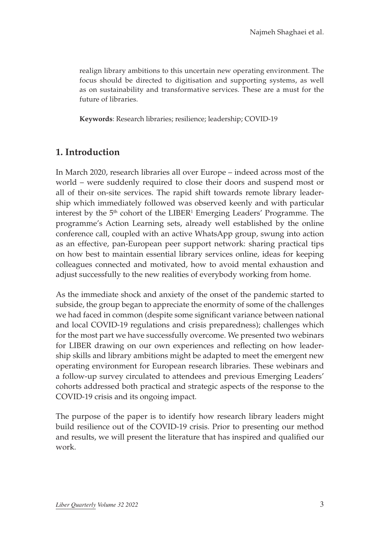realign library ambitions to this uncertain new operating environment. The focus should be directed to digitisation and supporting systems, as well as on sustainability and transformative services. These are a must for the future of libraries.

**Keywords**: Research libraries; resilience; leadership; COVID-19

### **1. Introduction**

In March 2020, research libraries all over Europe – indeed across most of the world – were suddenly required to close their doors and suspend most or all of their on-site services. The rapid shift towards remote library leadership which immediately followed was observed keenly and with particular interest by the  $5<sup>th</sup>$  cohort of the LIBER<sup>1</sup> Emerging Leaders' Programme. The programme's Action Learning sets, already well established by the online conference call, coupled with an active WhatsApp group, swung into action as an effective, pan-European peer support network: sharing practical tips on how best to maintain essential library services online, ideas for keeping colleagues connected and motivated, how to avoid mental exhaustion and adjust successfully to the new realities of everybody working from home.

As the immediate shock and anxiety of the onset of the pandemic started to subside, the group began to appreciate the enormity of some of the challenges we had faced in common (despite some significant variance between national and local COVID-19 regulations and crisis preparedness); challenges which for the most part we have successfully overcome. We presented two webinars for LIBER drawing on our own experiences and reflecting on how leadership skills and library ambitions might be adapted to meet the emergent new operating environment for European research libraries. These webinars and a follow-up survey circulated to attendees and previous Emerging Leaders' cohorts addressed both practical and strategic aspects of the response to the COVID-19 crisis and its ongoing impact.

The purpose of the paper is to identify how research library leaders might build resilience out of the COVID-19 crisis. Prior to presenting our method and results, we will present the literature that has inspired and qualified our work.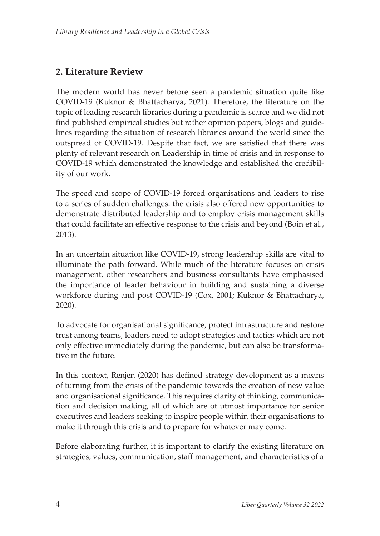### **2. Literature Review**

The modern world has never before seen a pandemic situation quite like COVID-19 (Kuknor & Bhattacharya, 2021). Therefore, the literature on the topic of leading research libraries during a pandemic is scarce and we did not find published empirical studies but rather opinion papers, blogs and guidelines regarding the situation of research libraries around the world since the outspread of COVID-19. Despite that fact, we are satisfied that there was plenty of relevant research on Leadership in time of crisis and in response to COVID-19 which demonstrated the knowledge and established the credibility of our work.

The speed and scope of COVID-19 forced organisations and leaders to rise to a series of sudden challenges: the crisis also offered new opportunities to demonstrate distributed leadership and to employ crisis management skills that could facilitate an effective response to the crisis and beyond (Boin et al., 2013).

In an uncertain situation like COVID-19, strong leadership skills are vital to illuminate the path forward. While much of the literature focuses on crisis management, other researchers and business consultants have emphasised the importance of leader behaviour in building and sustaining a diverse workforce during and post COVID-19 (Cox, 2001; Kuknor & Bhattacharya, 2020).

To advocate for organisational significance, protect infrastructure and restore trust among teams, leaders need to adopt strategies and tactics which are not only effective immediately during the pandemic, but can also be transformative in the future.

In this context, Renjen (2020) has defined strategy development as a means of turning from the crisis of the pandemic towards the creation of new value and organisational significance. This requires clarity of thinking, communication and decision making, all of which are of utmost importance for senior executives and leaders seeking to inspire people within their organisations to make it through this crisis and to prepare for whatever may come.

Before elaborating further, it is important to clarify the existing literature on strategies, values, communication, staff management, and characteristics of a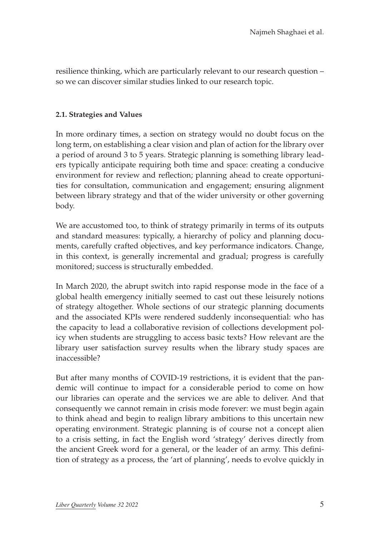resilience thinking, which are particularly relevant to our research question – so we can discover similar studies linked to our research topic.

#### **2.1. Strategies and Values**

In more ordinary times, a section on strategy would no doubt focus on the long term, on establishing a clear vision and plan of action for the library over a period of around 3 to 5 years. Strategic planning is something library leaders typically anticipate requiring both time and space: creating a conducive environment for review and reflection; planning ahead to create opportunities for consultation, communication and engagement; ensuring alignment between library strategy and that of the wider university or other governing body.

We are accustomed too, to think of strategy primarily in terms of its outputs and standard measures: typically, a hierarchy of policy and planning documents, carefully crafted objectives, and key performance indicators. Change, in this context, is generally incremental and gradual; progress is carefully monitored; success is structurally embedded.

In March 2020, the abrupt switch into rapid response mode in the face of a global health emergency initially seemed to cast out these leisurely notions of strategy altogether. Whole sections of our strategic planning documents and the associated KPIs were rendered suddenly inconsequential: who has the capacity to lead a collaborative revision of collections development policy when students are struggling to access basic texts? How relevant are the library user satisfaction survey results when the library study spaces are inaccessible?

But after many months of COVID-19 restrictions, it is evident that the pandemic will continue to impact for a considerable period to come on how our libraries can operate and the services we are able to deliver. And that consequently we cannot remain in crisis mode forever: we must begin again to think ahead and begin to realign library ambitions to this uncertain new operating environment. Strategic planning is of course not a concept alien to a crisis setting, in fact the English word 'strategy' derives directly from the ancient Greek word for a general, or the leader of an army. This definition of strategy as a process, the 'art of planning', needs to evolve quickly in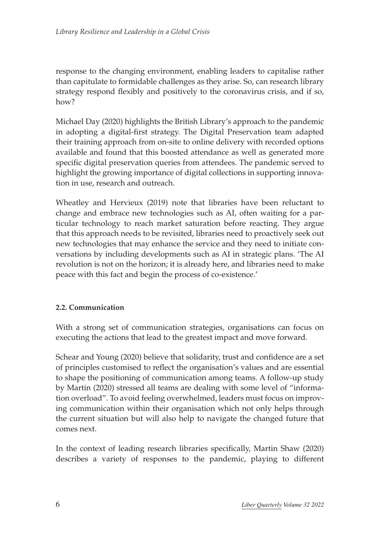response to the changing environment, enabling leaders to capitalise rather than capitulate to formidable challenges as they arise. So, can research library strategy respond flexibly and positively to the coronavirus crisis, and if so, how?

Michael Day (2020) highlights the British Library's approach to the pandemic in adopting a digital-first strategy. The Digital Preservation team adapted their training approach from on-site to online delivery with recorded options available and found that this boosted attendance as well as generated more specific digital preservation queries from attendees. The pandemic served to highlight the growing importance of digital collections in supporting innovation in use, research and outreach.

Wheatley and Hervieux (2019) note that libraries have been reluctant to change and embrace new technologies such as AI, often waiting for a particular technology to reach market saturation before reacting. They argue that this approach needs to be revisited, libraries need to proactively seek out new technologies that may enhance the service and they need to initiate conversations by including developments such as AI in strategic plans. 'The AI revolution is not on the horizon; it is already here, and libraries need to make peace with this fact and begin the process of co-existence.'

#### **2.2. Communication**

With a strong set of communication strategies, organisations can focus on executing the actions that lead to the greatest impact and move forward.

Schear and Young (2020) believe that solidarity, trust and confidence are a set of principles customised to reflect the organisation's values and are essential to shape the positioning of communication among teams. A follow-up study by Martin (2020) stressed all teams are dealing with some level of "information overload". To avoid feeling overwhelmed, leaders must focus on improving communication within their organisation which not only helps through the current situation but will also help to navigate the changed future that comes next.

In the context of leading research libraries specifically, Martin Shaw (2020) describes a variety of responses to the pandemic, playing to different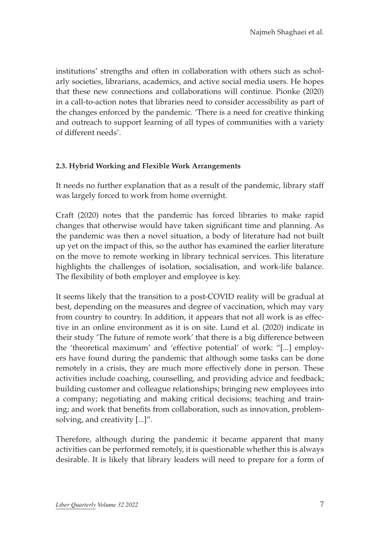institutions' strengths and often in collaboration with others such as scholarly societies, librarians, academics, and active social media users. He hopes that these new connections and collaborations will continue. Pionke (2020) in a call-to-action notes that libraries need to consider accessibility as part of the changes enforced by the pandemic. 'There is a need for creative thinking and outreach to support learning of all types of communities with a variety of different needs'.

#### **2.3. Hybrid Working and Flexible Work Arrangements**

It needs no further explanation that as a result of the pandemic, library staff was largely forced to work from home overnight.

Craft (2020) notes that the pandemic has forced libraries to make rapid changes that otherwise would have taken significant time and planning. As the pandemic was then a novel situation, a body of literature had not built up yet on the impact of this, so the author has examined the earlier literature on the move to remote working in library technical services. This literature highlights the challenges of isolation, socialisation, and work-life balance. The flexibility of both employer and employee is key.

It seems likely that the transition to a post-COVID reality will be gradual at best, depending on the measures and degree of vaccination, which may vary from country to country. In addition, it appears that not all work is as effective in an online environment as it is on site. Lund et al. (2020) indicate in their study 'The future of remote work' that there is a big difference between the 'theoretical maximum' and 'effective potential' of work: "[...] employers have found during the pandemic that although some tasks can be done remotely in a crisis, they are much more effectively done in person. These activities include coaching, counselling, and providing advice and feedback; building customer and colleague relationships; bringing new employees into a company; negotiating and making critical decisions; teaching and training; and work that benefits from collaboration, such as innovation, problemsolving, and creativity [...]".

Therefore, although during the pandemic it became apparent that many activities can be performed remotely, it is questionable whether this is always desirable. It is likely that library leaders will need to prepare for a form of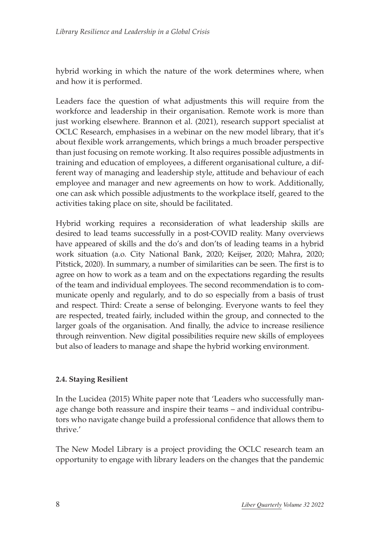hybrid working in which the nature of the work determines where, when and how it is performed.

Leaders face the question of what adjustments this will require from the workforce and leadership in their organisation. Remote work is more than just working elsewhere. Brannon et al. (2021), research support specialist at OCLC Research, emphasises in a webinar on the new model library, that it's about flexible work arrangements, which brings a much broader perspective than just focusing on remote working. It also requires possible adjustments in training and education of employees, a different organisational culture, a different way of managing and leadership style, attitude and behaviour of each employee and manager and new agreements on how to work. Additionally, one can ask which possible adjustments to the workplace itself, geared to the activities taking place on site, should be facilitated.

Hybrid working requires a reconsideration of what leadership skills are desired to lead teams successfully in a post-COVID reality. Many overviews have appeared of skills and the do's and don'ts of leading teams in a hybrid work situation (a.o. City National Bank, 2020; Keijser, 2020; Mahra, 2020; Pitstick, 2020). In summary, a number of similarities can be seen. The first is to agree on how to work as a team and on the expectations regarding the results of the team and individual employees. The second recommendation is to communicate openly and regularly, and to do so especially from a basis of trust and respect. Third: Create a sense of belonging. Everyone wants to feel they are respected, treated fairly, included within the group, and connected to the larger goals of the organisation. And finally, the advice to increase resilience through reinvention. New digital possibilities require new skills of employees but also of leaders to manage and shape the hybrid working environment.

#### **2.4. Staying Resilient**

In the Lucidea (2015) White paper note that 'Leaders who successfully manage change both reassure and inspire their teams – and individual contributors who navigate change build a professional confidence that allows them to thrive.'

The New Model Library is a project providing the OCLC research team an opportunity to engage with library leaders on the changes that the pandemic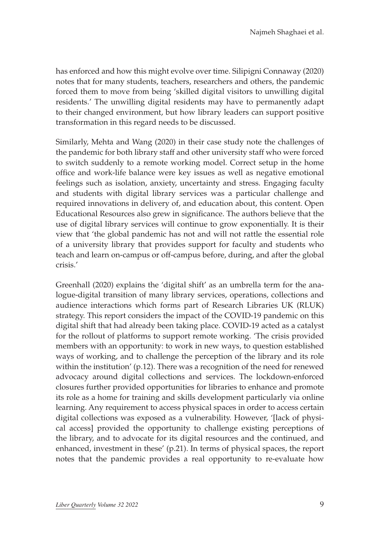has enforced and how this might evolve over time. Silipigni Connaway (2020) notes that for many students, teachers, researchers and others, the pandemic forced them to move from being 'skilled digital visitors to unwilling digital residents.' The unwilling digital residents may have to permanently adapt to their changed environment, but how library leaders can support positive transformation in this regard needs to be discussed.

Similarly, Mehta and Wang (2020) in their case study note the challenges of the pandemic for both library staff and other university staff who were forced to switch suddenly to a remote working model. Correct setup in the home office and work-life balance were key issues as well as negative emotional feelings such as isolation, anxiety, uncertainty and stress. Engaging faculty and students with digital library services was a particular challenge and required innovations in delivery of, and education about, this content. Open Educational Resources also grew in significance. The authors believe that the use of digital library services will continue to grow exponentially. It is their view that 'the global pandemic has not and will not rattle the essential role of a university library that provides support for faculty and students who teach and learn on-campus or off-campus before, during, and after the global crisis.'

Greenhall (2020) explains the 'digital shift' as an umbrella term for the analogue-digital transition of many library services, operations, collections and audience interactions which forms part of Research Libraries UK (RLUK) strategy. This report considers the impact of the COVID-19 pandemic on this digital shift that had already been taking place. COVID-19 acted as a catalyst for the rollout of platforms to support remote working. 'The crisis provided members with an opportunity: to work in new ways, to question established ways of working, and to challenge the perception of the library and its role within the institution' (p.12). There was a recognition of the need for renewed advocacy around digital collections and services. The lockdown-enforced closures further provided opportunities for libraries to enhance and promote its role as a home for training and skills development particularly via online learning. Any requirement to access physical spaces in order to access certain digital collections was exposed as a vulnerability. However, '[lack of physical access] provided the opportunity to challenge existing perceptions of the library, and to advocate for its digital resources and the continued, and enhanced, investment in these' (p.21). In terms of physical spaces, the report notes that the pandemic provides a real opportunity to re-evaluate how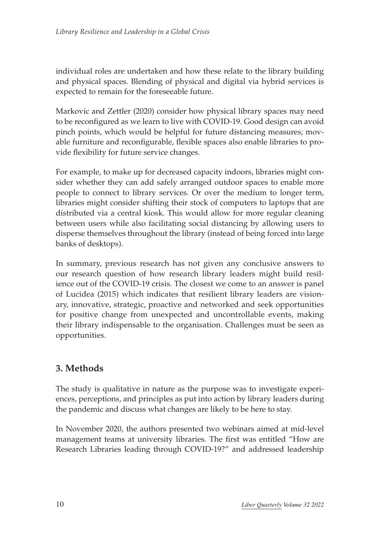individual roles are undertaken and how these relate to the library building and physical spaces. Blending of physical and digital via hybrid services is expected to remain for the foreseeable future.

Markovic and Zettler (2020) consider how physical library spaces may need to be reconfigured as we learn to live with COVID-19. Good design can avoid pinch points, which would be helpful for future distancing measures; movable furniture and reconfigurable, flexible spaces also enable libraries to provide flexibility for future service changes.

For example, to make up for decreased capacity indoors, libraries might consider whether they can add safely arranged outdoor spaces to enable more people to connect to library services. Or over the medium to longer term, libraries might consider shifting their stock of computers to laptops that are distributed via a central kiosk. This would allow for more regular cleaning between users while also facilitating social distancing by allowing users to disperse themselves throughout the library (instead of being forced into large banks of desktops).

In summary, previous research has not given any conclusive answers to our research question of how research library leaders might build resilience out of the COVID-19 crisis. The closest we come to an answer is panel of Lucidea (2015) which indicates that resilient library leaders are visionary, innovative, strategic, proactive and networked and seek opportunities for positive change from unexpected and uncontrollable events, making their library indispensable to the organisation. Challenges must be seen as opportunities.

# **3. Methods**

The study is qualitative in nature as the purpose was to investigate experiences, perceptions, and principles as put into action by library leaders during the pandemic and discuss what changes are likely to be here to stay.

In November 2020, the authors presented two webinars aimed at mid-level management teams at university libraries. The first was entitled "How are Research Libraries leading through COVID-19?" and addressed leadership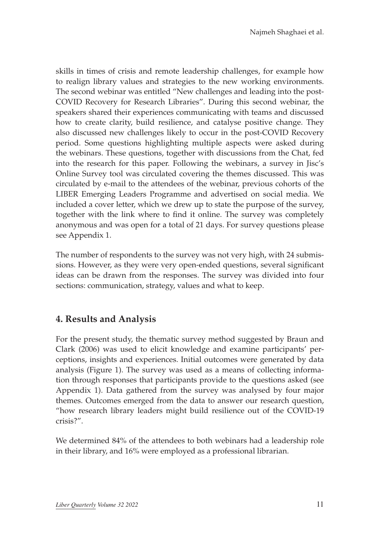skills in times of crisis and remote leadership challenges, for example how to realign library values and strategies to the new working environments. The second webinar was entitled "New challenges and leading into the post-COVID Recovery for Research Libraries". During this second webinar, the speakers shared their experiences communicating with teams and discussed how to create clarity, build resilience, and catalyse positive change. They also discussed new challenges likely to occur in the post-COVID Recovery period. Some questions highlighting multiple aspects were asked during the webinars. These questions, together with discussions from the Chat, fed into the research for this paper. Following the webinars, a survey in Jisc's Online Survey tool was circulated covering the themes discussed. This was circulated by e-mail to the attendees of the webinar, previous cohorts of the LIBER Emerging Leaders Programme and advertised on social media. We included a cover letter, which we drew up to state the purpose of the survey, together with the link where to find it online. The survey was completely anonymous and was open for a total of 21 days. For survey questions please see Appendix 1.

The number of respondents to the survey was not very high, with 24 submissions. However, as they were very open-ended questions, several significant ideas can be drawn from the responses. The survey was divided into four sections: communication, strategy, values and what to keep.

# **4. Results and Analysis**

For the present study, the thematic survey method suggested by Braun and Clark (2006) was used to elicit knowledge and examine participants' perceptions, insights and experiences. Initial outcomes were generated by data analysis (Figure 1). The survey was used as a means of collecting information through responses that participants provide to the questions asked (see Appendix 1). Data gathered from the survey was analysed by four major themes. Outcomes emerged from the data to answer our research question, "how research library leaders might build resilience out of the COVID-19 crisis?".

We determined 84% of the attendees to both webinars had a leadership role in their library, and 16% were employed as a professional librarian.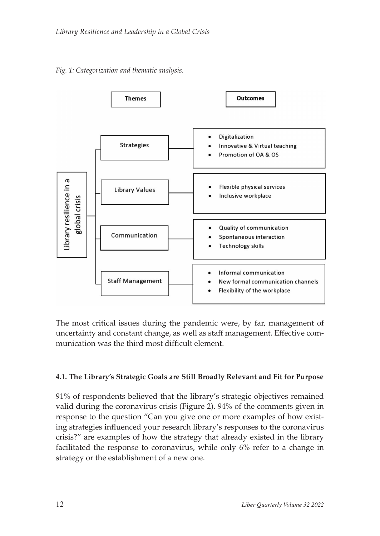



The most critical issues during the pandemic were, by far, management of uncertainty and constant change, as well as staff management. Effective communication was the third most difficult element.

#### **4.1. The Library's Strategic Goals are Still Broadly Relevant and Fit for Purpose**

91% of respondents believed that the library's strategic objectives remained valid during the coronavirus crisis (Figure 2). 94% of the comments given in response to the question "Can you give one or more examples of how existing strategies influenced your research library's responses to the coronavirus crisis?" are examples of how the strategy that already existed in the library facilitated the response to coronavirus, while only 6% refer to a change in strategy or the establishment of a new one.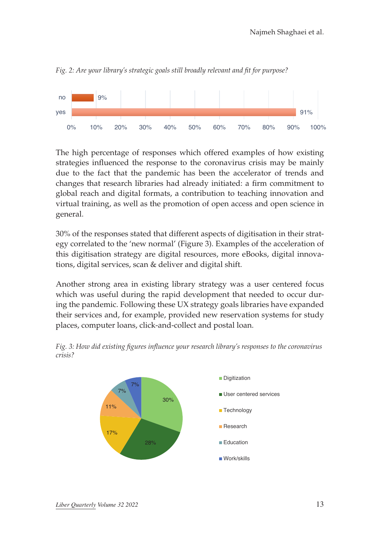

*Fig. 2: Are your library's strategic goals still broadly relevant and fit for purpose?*

The high percentage of responses which offered examples of how existing strategies influenced the response to the coronavirus crisis may be mainly due to the fact that the pandemic has been the accelerator of trends and changes that research libraries had already initiated: a firm commitment to global reach and digital formats, a contribution to teaching innovation and virtual training, as well as the promotion of open access and open science in general.

30% of the responses stated that different aspects of digitisation in their strategy correlated to the 'new normal' (Figure 3). Examples of the acceleration of this digitisation strategy are digital resources, more eBooks, digital innovations, digital services, scan & deliver and digital shift.

Another strong area in existing library strategy was a user centered focus which was useful during the rapid development that needed to occur during the pandemic. Following these UX strategy goals libraries have expanded their services and, for example, provided new reservation systems for study places, computer loans, click-and-collect and postal loan.



*Fig. 3: How did existing figures influence your research library's responses to the coronavirus crisis?*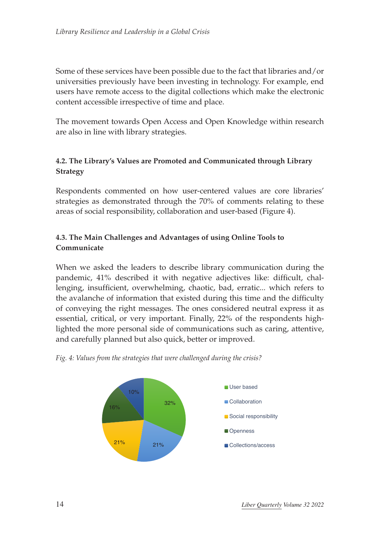Some of these services have been possible due to the fact that libraries and/or universities previously have been investing in technology. For example, end users have remote access to the digital collections which make the electronic content accessible irrespective of time and place.

The movement towards Open Access and Open Knowledge within research are also in line with library strategies.

#### **4.2. The Library's Values are Promoted and Communicated through Library Strategy**

Respondents commented on how user-centered values are core libraries' strategies as demonstrated through the 70% of comments relating to these areas of social responsibility, collaboration and user-based (Figure 4).

#### **4.3. The Main Challenges and Advantages of using Online Tools to Communicate**

When we asked the leaders to describe library communication during the pandemic, 41% described it with negative adjectives like: difficult, challenging, insufficient, overwhelming, chaotic, bad, erratic... which refers to the avalanche of information that existed during this time and the difficulty of conveying the right messages. The ones considered neutral express it as essential, critical, or very important. Finally, 22% of the respondents highlighted the more personal side of communications such as caring, attentive, and carefully planned but also quick, better or improved.



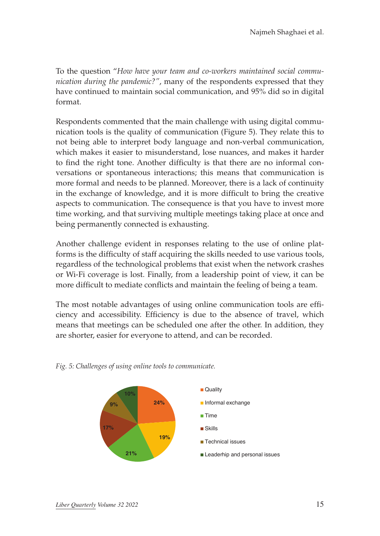To the question "*How have your team and co-workers maintained social communication during the pandemic?"*, many of the respondents expressed that they have continued to maintain social communication, and 95% did so in digital format.

Respondents commented that the main challenge with using digital communication tools is the quality of communication (Figure 5). They relate this to not being able to interpret body language and non-verbal communication, which makes it easier to misunderstand, lose nuances, and makes it harder to find the right tone. Another difficulty is that there are no informal conversations or spontaneous interactions; this means that communication is more formal and needs to be planned. Moreover, there is a lack of continuity in the exchange of knowledge, and it is more difficult to bring the creative aspects to communication. The consequence is that you have to invest more time working, and that surviving multiple meetings taking place at once and being permanently connected is exhausting.

Another challenge evident in responses relating to the use of online platforms is the difficulty of staff acquiring the skills needed to use various tools, regardless of the technological problems that exist when the network crashes or Wi-Fi coverage is lost. Finally, from a leadership point of view, it can be more difficult to mediate conflicts and maintain the feeling of being a team.

The most notable advantages of using online communication tools are efficiency and accessibility. Efficiency is due to the absence of travel, which means that meetings can be scheduled one after the other. In addition, they are shorter, easier for everyone to attend, and can be recorded.



*Fig. 5: Challenges of using online tools to communicate.*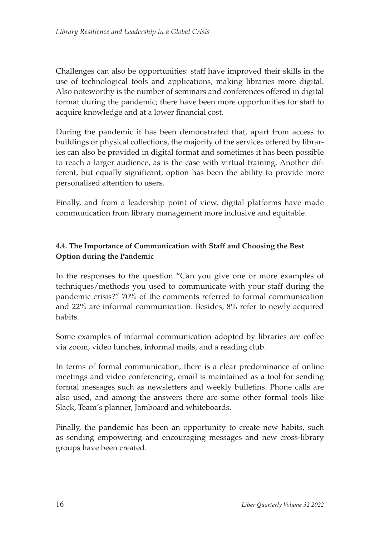Challenges can also be opportunities: staff have improved their skills in the use of technological tools and applications, making libraries more digital. Also noteworthy is the number of seminars and conferences offered in digital format during the pandemic; there have been more opportunities for staff to acquire knowledge and at a lower financial cost.

During the pandemic it has been demonstrated that, apart from access to buildings or physical collections, the majority of the services offered by libraries can also be provided in digital format and sometimes it has been possible to reach a larger audience, as is the case with virtual training. Another different, but equally significant, option has been the ability to provide more personalised attention to users.

Finally, and from a leadership point of view, digital platforms have made communication from library management more inclusive and equitable.

#### **4.4. The Importance of Communication with Staff and Choosing the Best Option during the Pandemic**

In the responses to the question "Can you give one or more examples of techniques/methods you used to communicate with your staff during the pandemic crisis?" 70% of the comments referred to formal communication and 22% are informal communication. Besides, 8% refer to newly acquired habits.

Some examples of informal communication adopted by libraries are coffee via zoom, video lunches, informal mails, and a reading club.

In terms of formal communication, there is a clear predominance of online meetings and video conferencing, email is maintained as a tool for sending formal messages such as newsletters and weekly bulletins. Phone calls are also used, and among the answers there are some other formal tools like Slack, Team's planner, Jamboard and whiteboards.

Finally, the pandemic has been an opportunity to create new habits, such as sending empowering and encouraging messages and new cross-library groups have been created.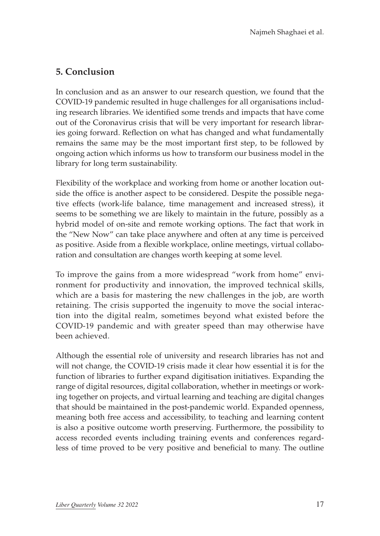# **5. Conclusion**

In conclusion and as an answer to our research question, we found that the COVID-19 pandemic resulted in huge challenges for all organisations including research libraries. We identified some trends and impacts that have come out of the Coronavirus crisis that will be very important for research libraries going forward. Reflection on what has changed and what fundamentally remains the same may be the most important first step, to be followed by ongoing action which informs us how to transform our business model in the library for long term sustainability.

Flexibility of the workplace and working from home or another location outside the office is another aspect to be considered. Despite the possible negative effects (work-life balance, time management and increased stress), it seems to be something we are likely to maintain in the future, possibly as a hybrid model of on-site and remote working options. The fact that work in the "New Now" can take place anywhere and often at any time is perceived as positive. Aside from a flexible workplace, online meetings, virtual collaboration and consultation are changes worth keeping at some level.

To improve the gains from a more widespread "work from home" environment for productivity and innovation, the improved technical skills, which are a basis for mastering the new challenges in the job, are worth retaining. The crisis supported the ingenuity to move the social interaction into the digital realm, sometimes beyond what existed before the COVID-19 pandemic and with greater speed than may otherwise have been achieved.

Although the essential role of university and research libraries has not and will not change, the COVID-19 crisis made it clear how essential it is for the function of libraries to further expand digitisation initiatives. Expanding the range of digital resources, digital collaboration, whether in meetings or working together on projects, and virtual learning and teaching are digital changes that should be maintained in the post-pandemic world. Expanded openness, meaning both free access and accessibility, to teaching and learning content is also a positive outcome worth preserving. Furthermore, the possibility to access recorded events including training events and conferences regardless of time proved to be very positive and beneficial to many. The outline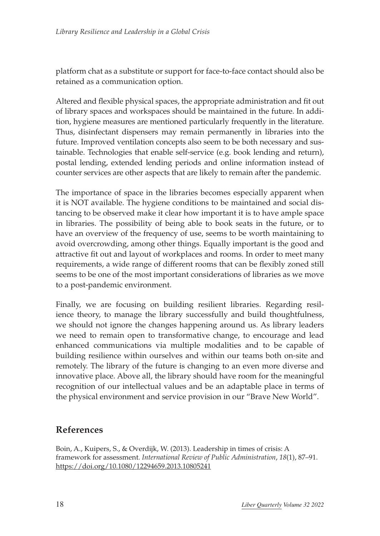platform chat as a substitute or support for face-to-face contact should also be retained as a communication option.

Altered and flexible physical spaces, the appropriate administration and fit out of library spaces and workspaces should be maintained in the future. In addition, hygiene measures are mentioned particularly frequently in the literature. Thus, disinfectant dispensers may remain permanently in libraries into the future. Improved ventilation concepts also seem to be both necessary and sustainable. Technologies that enable self-service (e.g. book lending and return), postal lending, extended lending periods and online information instead of counter services are other aspects that are likely to remain after the pandemic.

The importance of space in the libraries becomes especially apparent when it is NOT available. The hygiene conditions to be maintained and social distancing to be observed make it clear how important it is to have ample space in libraries. The possibility of being able to book seats in the future, or to have an overview of the frequency of use, seems to be worth maintaining to avoid overcrowding, among other things. Equally important is the good and attractive fit out and layout of workplaces and rooms. In order to meet many requirements, a wide range of different rooms that can be flexibly zoned still seems to be one of the most important considerations of libraries as we move to a post-pandemic environment.

Finally, we are focusing on building resilient libraries. Regarding resilience theory, to manage the library successfully and build thoughtfulness, we should not ignore the changes happening around us. As library leaders we need to remain open to transformative change, to encourage and lead enhanced communications via multiple modalities and to be capable of building resilience within ourselves and within our teams both on-site and remotely. The library of the future is changing to an even more diverse and innovative place. Above all, the library should have room for the meaningful recognition of our intellectual values and be an adaptable place in terms of the physical environment and service provision in our "Brave New World".

### **References**

Boin, A., Kuipers, S., & Overdijk, W. (2013). Leadership in times of crisis: A framework for assessment. *International Review of Public Administration*, *18*(1), 87–91. <https://doi.org/10.1080/12294659.2013.10805241>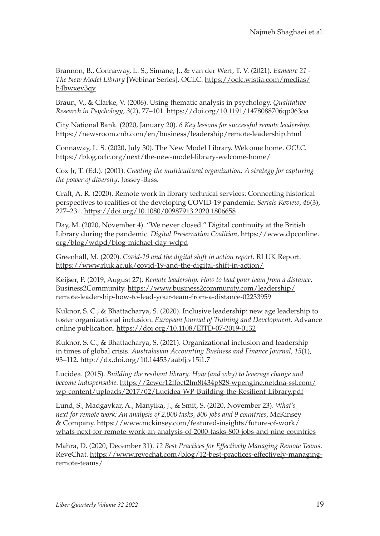Brannon, B., Connaway, L. S., Simane, J., & van der Werf, T. V. (2021). *Eamearc 21 - The New Model Library* [Webinar Series]. OCLC. [https://oclc.wistia.com/medias/](https://oclc.wistia.com/medias/h4bwxev3qy) [h4bwxev3qy](https://oclc.wistia.com/medias/h4bwxev3qy)

Braun, V., & Clarke, V. (2006). Using thematic analysis in psychology. *Qualitative Research in Psychology*, *3*(2), 77–101. <https://doi.org/10.1191/1478088706qp063oa>

City National Bank. (2020, January 20). *6 Key lessons for successful remote leadership*. <https://newsroom.cnb.com/en/business/leadership/remote-leadership.html>

Connaway, L. S. (2020, July 30). The New Model Library. Welcome home. *OCLC*. <https://blog.oclc.org/next/the-new-model-library-welcome-home/>

Cox Jr, T. (Ed.). (2001). *Creating the multicultural organization: A strategy for capturing the power of diversity*. Jossey-Bass.

Craft, A. R. (2020). Remote work in library technical services: Connecting historical perspectives to realities of the developing COVID-19 pandemic. *Serials Review*, *46*(3), 227–231. <https://doi.org/10.1080/00987913.2020.1806658>

Day, M. (2020, November 4). "We never closed." Digital continuity at the British Library during the pandemic. *Digital Preservation Coalition*, [https://www.dpconline.](https://www.dpconline.org/blog/wdpd/blog-michael-day-wdpd) [org/blog/wdpd/blog-michael-day-wdpd](https://www.dpconline.org/blog/wdpd/blog-michael-day-wdpd)

Greenhall, M. (2020). *Covid-19 and the digital shift in action report*. RLUK Report. <https://www.rluk.ac.uk/covid-19-and-the-digital-shift-in-action/>

Keijser, P. (2019, August 27). *Remote leadership: How to lead your team from a distance*. Business2Community. [https://www.business2community.com/leadership/](https://www.business2community.com/leadership/remote-leadership-how-to-lead-your-team-from-a-distance-02233959) [remote-leadership-how-to-lead-your-team-from-a-distance-02233959](https://www.business2community.com/leadership/remote-leadership-how-to-lead-your-team-from-a-distance-02233959)

Kuknor, S. C., & Bhattacharya, S. (2020). Inclusive leadership: new age leadership to foster organizational inclusion. *European Journal of Training and Development*. Advance online publication. <https://doi.org/10.1108/EJTD-07-2019-0132>

Kuknor, S. C., & Bhattacharya, S. (2021). Organizational inclusion and leadership in times of global crisis. *Australasian Accounting Business and Finance Journal*, *15*(1), 93–112. <http://dx.doi.org/10.14453/aabfj.v15i1.7>

Lucidea. (2015). *Building the resilient library. How (and why) to leverage change and become indispensable*. [https://2cwcr12ffoct2lm8t434p828-wpengine.netdna-ssl.com/](https://2cwcr12ffoct2lm8t434p828-wpengine.netdna-ssl.com/wp-content/uploads/2017/02/Lucidea-WP-Building-the-Resilient-Library.pdf) [wp-content/uploads/2017/02/Lucidea-WP-Building-the-Resilient-Library.pdf](https://2cwcr12ffoct2lm8t434p828-wpengine.netdna-ssl.com/wp-content/uploads/2017/02/Lucidea-WP-Building-the-Resilient-Library.pdf)

Lund, S., Madgavkar, A., Manyika, J., & Smit, S. (2020, November 23). *What's next for remote work: An analysis of 2,000 tasks, 800 jobs and 9 countries*, McKinsey & Company. [https://www.mckinsey.com/featured-insights/future-of-work/](https://www.mckinsey.com/featured-insights/future-of-work/whats-next-for-remote-work-an-analysis-of-2000-tasks-800-jobs-and-nine-countries) [whats-next-for-remote-work-an-analysis-of-2000-tasks-800-jobs-and-nine-countries](https://www.mckinsey.com/featured-insights/future-of-work/whats-next-for-remote-work-an-analysis-of-2000-tasks-800-jobs-and-nine-countries)

Mahra, D. (2020, December 31). *12 Best Practices for Effectively Managing Remote Teams*. ReveChat. [https://www.revechat.com/blog/12-best-practices-effectively-managing](https://www.revechat.com/blog/12-best-practices-effectively-managing-remote-teams/)[remote-teams/](https://www.revechat.com/blog/12-best-practices-effectively-managing-remote-teams/)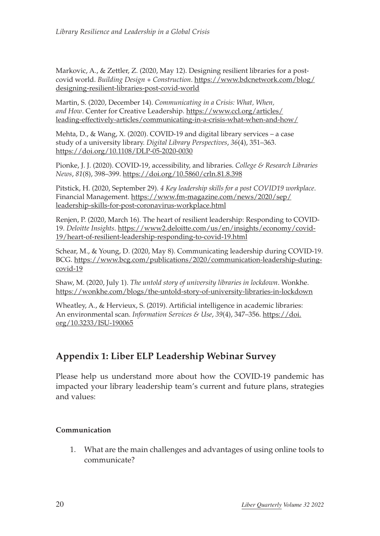Markovic, A., & Zettler, Z. (2020, May 12). Designing resilient libraries for a postcovid world. *Building Design + Construction*. [https://www.bdcnetwork.com/blog/](https://www.bdcnetwork.com/blog/designing-resilient-libraries-post-covid-world) [designing-resilient-libraries-post-covid-world](https://www.bdcnetwork.com/blog/designing-resilient-libraries-post-covid-world)

Martin, S. (2020, December 14). *Communicating in a Crisis: What, When, and How*. Center for Creative Leadership. [https://www.ccl.org/articles/](https://www.ccl.org/articles/leading-effectively-articles/communicating-in-a-crisis-what-when-and-how/) [leading-effectively-articles/communicating-in-a-crisis-what-when-and-how/](https://www.ccl.org/articles/leading-effectively-articles/communicating-in-a-crisis-what-when-and-how/)

Mehta, D., & Wang, X. (2020). COVID-19 and digital library services – a case study of a university library. *Digital Library Perspectives*, *36*(4), 351–363. <https://doi.org/10.1108/DLP-05-2020-0030>

Pionke, J. J. (2020). COVID-19, accessibility, and libraries. *College & Research Libraries News*, *81*(8), 398–399. <https://doi.org/10.5860/crln.81.8.398>

Pitstick, H. (2020, September 29). *4 Key leadership skills for a post COVID19 workplace*. Financial Management. [https://www.fm-magazine.com/news/2020/sep/](https://www.fm-magazine.com/news/2020/sep/leadership-skills-for-post-coronavirus-workplace.html) [leadership-skills-for-post-coronavirus-workplace.html](https://www.fm-magazine.com/news/2020/sep/leadership-skills-for-post-coronavirus-workplace.html)

Renjen, P. (2020, March 16). The heart of resilient leadership: Responding to COVID-19. *Deloitte Insights*. [https://www2.deloitte.com/us/en/insights/economy/covid-](https://www2.deloitte.com/us/en/insights/economy/covid-19/heart-of-resilient-leadership-responding-to-covid-19.html)[19/heart-of-resilient-leadership-responding-to-covid-19.html](https://www2.deloitte.com/us/en/insights/economy/covid-19/heart-of-resilient-leadership-responding-to-covid-19.html)

Schear, M., & Young, D. (2020, May 8). Communicating leadership during COVID-19. BCG. [https://www.bcg.com/publications/2020/communication-leadership-during](https://www.bcg.com/publications/2020/communication-leadership-during-covid-19)[covid-19](https://www.bcg.com/publications/2020/communication-leadership-during-covid-19)

Shaw, M. (2020, July 1). *The untold story of university libraries in lockdown*. Wonkhe. <https://wonkhe.com/blogs/the-untold-story-of-university-libraries-in-lockdown>

Wheatley, A., & Hervieux, S. (2019). Artificial intelligence in academic libraries: An environmental scan. *Information Services & Use*, *39*(4), 347–356. [https://doi.](https://doi.org/10.3233/ISU-190065) [org/10.3233/ISU-190065](https://doi.org/10.3233/ISU-190065)

# **Appendix 1: Liber ELP Leadership Webinar Survey**

Please help us understand more about how the COVID-19 pandemic has impacted your library leadership team's current and future plans, strategies and values:

#### **Communication**

1. What are the main challenges and advantages of using online tools to communicate?